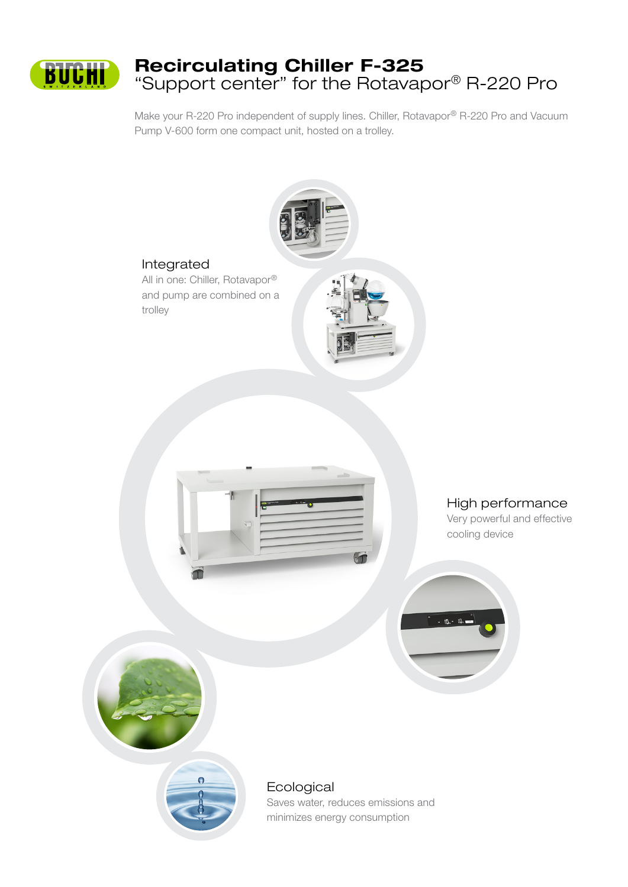

# Recirculating Chiller F-325 "Support center" for the Rotavapor® R-220 Pro

Make your R-220 Pro independent of supply lines. Chiller, Rotavapor® R-220 Pro and Vacuum Pump V-600 form one compact unit, hosted on a trolley.